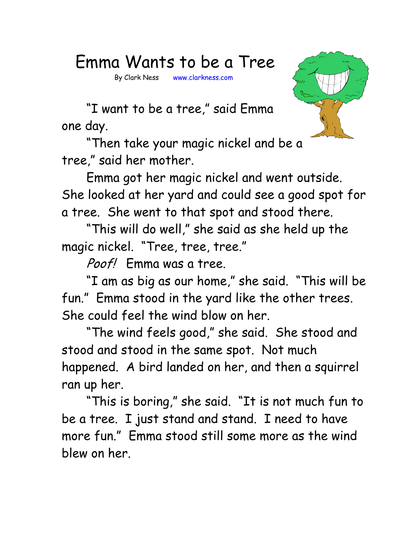## Emma Wants to be a Tree

By Clark Ness www.clarkness.com



 "I want to be a tree," said Emma one day.

 "Then take your magic nickel and be a tree," said her mother.

 Emma got her magic nickel and went outside. She looked at her yard and could see a good spot for a tree. She went to that spot and stood there.

 "This will do well," she said as she held up the magic nickel. "Tree, tree, tree."

Poof! Emma was a tree.

 "I am as big as our home," she said. "This will be fun." Emma stood in the yard like the other trees. She could feel the wind blow on her.

 "The wind feels good," she said. She stood and stood and stood in the same spot. Not much happened. A bird landed on her, and then a squirrel ran up her.

 "This is boring," she said. "It is not much fun to be a tree. I just stand and stand. I need to have more fun." Emma stood still some more as the wind blew on her.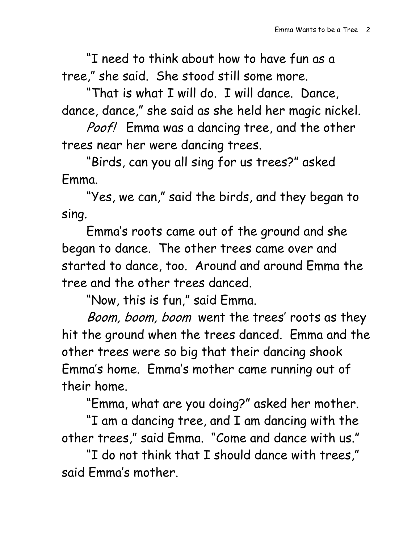"I need to think about how to have fun as a tree," she said. She stood still some more.

 "That is what I will do. I will dance. Dance, dance, dance," she said as she held her magic nickel.

Poof! Emma was a dancing tree, and the other trees near her were dancing trees.

 "Birds, can you all sing for us trees?" asked Emma.

 "Yes, we can," said the birds, and they began to sing.

Emma's roots came out of the ground and she began to dance. The other trees came over and started to dance, too. Around and around Emma the tree and the other trees danced.

"Now, this is fun," said Emma.

Boom, boom, boom went the trees' roots as they hit the ground when the trees danced. Emma and the other trees were so big that their dancing shook Emma's home. Emma's mother came running out of their home.

"Emma, what are you doing?" asked her mother.

 "I am a dancing tree, and I am dancing with the other trees," said Emma. "Come and dance with us."

 "I do not think that I should dance with trees," said Emma's mother.